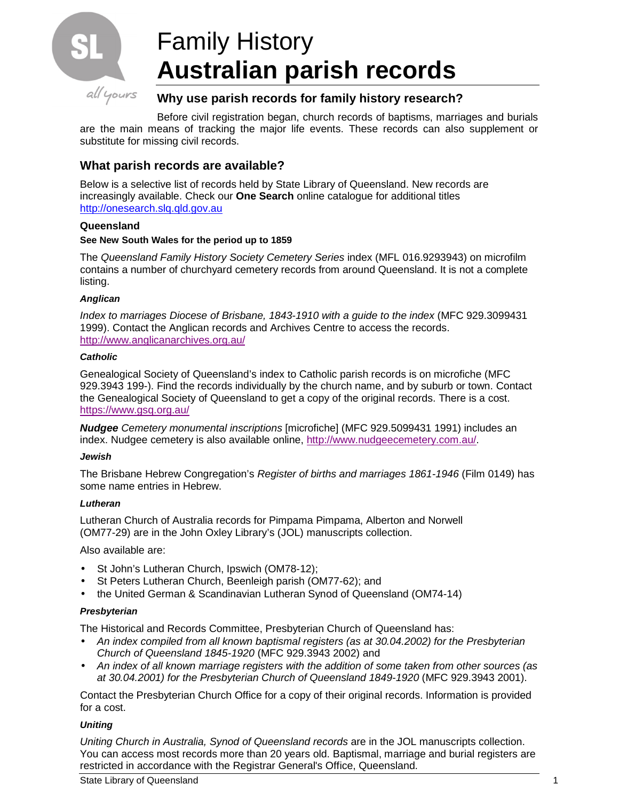

# Family History **Australian parish records**

## **Why use parish records for family history research?**

Before civil registration began, church records of baptisms, marriages and burials are the main means of tracking the major life events. These records can also supplement or substitute for missing civil records.

# **What parish records are available?**

Below is a selective list of records held by State Library of Queensland. New records are increasingly available. Check our **One Search** online catalogue for additional titles http://onesearch.slq.qld.gov.au

## **Queensland**

## **See New South Wales for the period up to 1859**

The Queensland Family History Society Cemetery Series index (MFL 016.9293943) on microfilm contains a number of churchyard cemetery records from around Queensland. It is not a complete listing.

## **Anglican**

Index to marriages Diocese of Brisbane, 1843-1910 with a guide to the index (MFC 929.3099431 1999). Contact the Anglican records and Archives Centre to access the records. http://www.anglicanarchives.org.au/

## **Catholic**

Genealogical Society of Queensland's index to Catholic parish records is on microfiche (MFC 929.3943 199-). Find the records individually by the church name, and by suburb or town. Contact the Genealogical Society of Queensland to get a copy of the original records. There is a cost. https://www.gsq.org.au/

**Nudgee** Cemetery monumental inscriptions [microfiche] (MFC 929.5099431 1991) includes an index. Nudgee cemetery is also available online, http://www.nudgeecemetery.com.au/.

## **Jewish**

The Brisbane Hebrew Congregation's Register of births and marriages 1861-1946 (Film 0149) has some name entries in Hebrew.

## **Lutheran**

Lutheran Church of Australia records for Pimpama Pimpama, Alberton and Norwell (OM77-29) are in the John Oxley Library's (JOL) manuscripts collection.

Also available are:

- St John's Lutheran Church, Ipswich (OM78-12);
- St Peters Lutheran Church, Beenleigh parish (OM77-62); and
- the United German & Scandinavian Lutheran Synod of Queensland (OM74-14)

## **Presbyterian**

The Historical and Records Committee, Presbyterian Church of Queensland has:

- An index compiled from all known baptismal registers (as at 30.04.2002) for the Presbyterian Church of Queensland 1845-1920 (MFC 929.3943 2002) and
- An index of all known marriage registers with the addition of some taken from other sources (as at 30.04.2001) for the Presbyterian Church of Queensland 1849-1920 (MFC 929.3943 2001).

Contact the Presbyterian Church Office for a copy of their original records. Information is provided for a cost.

## **Uniting**

Uniting Church in Australia, Synod of Queensland records are in the JOL manuscripts collection. You can access most records more than 20 years old. Baptismal, marriage and burial registers are restricted in accordance with the Registrar General's Office, Queensland.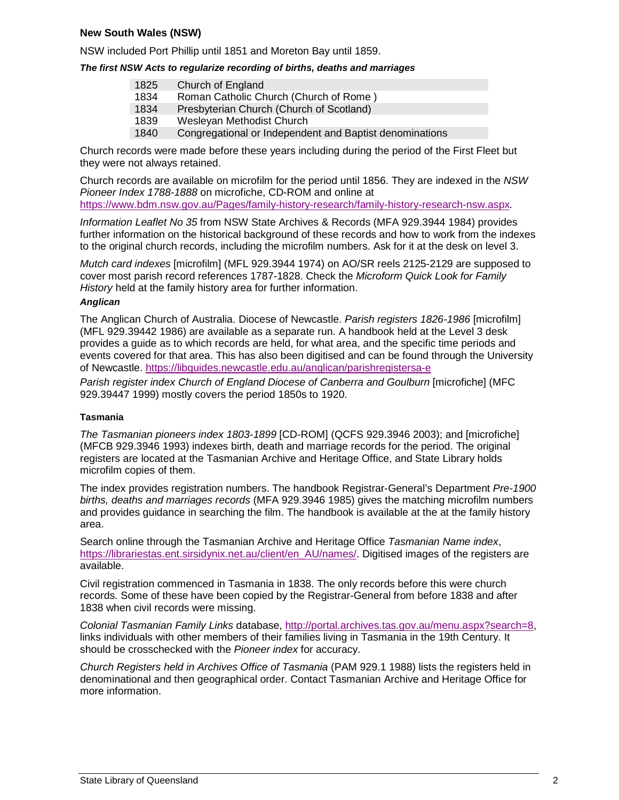## **New South Wales (NSW)**

NSW included Port Phillip until 1851 and Moreton Bay until 1859.

## **The first NSW Acts to regularize recording of births, deaths and marriages**

| 1825 | Church of England                        |
|------|------------------------------------------|
| 1834 | Roman Catholic Church (Church of Rome)   |
| 1834 | Presbyterian Church (Church of Scotland) |
| 1839 | Wesleyan Methodist Church                |

1840 Congregational or Independent and Baptist denominations

Church records were made before these years including during the period of the First Fleet but they were not always retained.

Church records are available on microfilm for the period until 1856. They are indexed in the NSW Pioneer Index 1788-1888 on microfiche, CD-ROM and online at https://www.bdm.nsw.gov.au/Pages/family-history-research/family-history-research-nsw.aspx.

Information Leaflet No 35 from NSW State Archives & Records (MFA 929.3944 1984) provides further information on the historical background of these records and how to work from the indexes to the original church records, including the microfilm numbers. Ask for it at the desk on level 3.

Mutch card indexes [microfilm] (MFL 929.3944 1974) on AO/SR reels 2125-2129 are supposed to cover most parish record references 1787-1828. Check the Microform Quick Look for Family History held at the family history area for further information.

## **Anglican**

The Anglican Church of Australia. Diocese of Newcastle. Parish registers 1826-1986 [microfilm] (MFL 929.39442 1986) are available as a separate run. A handbook held at the Level 3 desk provides a guide as to which records are held, for what area, and the specific time periods and events covered for that area. This has also been digitised and can be found through the University of Newcastle. https://libguides.newcastle.edu.au/anglican/parishregistersa-e

Parish register index Church of England Diocese of Canberra and Goulburn [microfiche] (MFC 929.39447 1999) mostly covers the period 1850s to 1920.

## **Tasmania**

The Tasmanian pioneers index 1803-1899 [CD-ROM] (QCFS 929.3946 2003); and [microfiche] (MFCB 929.3946 1993) indexes birth, death and marriage records for the period. The original registers are located at the Tasmanian Archive and Heritage Office, and State Library holds microfilm copies of them.

The index provides registration numbers. The handbook Registrar-General's Department Pre-1900 births, deaths and marriages records (MFA 929.3946 1985) gives the matching microfilm numbers and provides guidance in searching the film. The handbook is available at the at the family history area.

Search online through the Tasmanian Archive and Heritage Office Tasmanian Name index, https://librariestas.ent.sirsidynix.net.au/client/en\_AU/names/. Digitised images of the registers are available.

Civil registration commenced in Tasmania in 1838. The only records before this were church records. Some of these have been copied by the Registrar-General from before 1838 and after 1838 when civil records were missing.

Colonial Tasmanian Family Links database, http://portal.archives.tas.gov.au/menu.aspx?search=8, links individuals with other members of their families living in Tasmania in the 19th Century. It should be crosschecked with the Pioneer index for accuracy.

Church Registers held in Archives Office of Tasmania (PAM 929.1 1988) lists the registers held in denominational and then geographical order. Contact Tasmanian Archive and Heritage Office for more information.